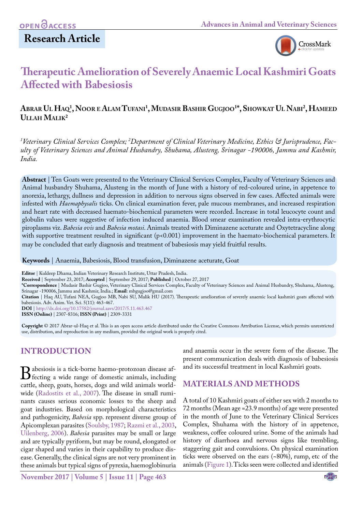# **Research Article**



# **Therapeutic Amelioration of Severely Anaemic Local Kashmiri Goats Affected with Babesiosis**

### **Abrar Ul Haq1 , Noor e Alam Tufani 1 , Mudasir Bashir Gugjoo1 \*, Showkat Ul Nabi2 , Hameed Ullah Malik2**

*1 Veterinary Clinical Services Complex; 2 Department of Clinical Veterinary Medicine, Ethics & Jurisprudence, Faculty of Veterinary Sciences and Animal Husbandry, Shuhama, Alusteng, Srinagar -190006, Jammu and Kashmir, India.*

**Abstract** | Ten Goats were presented to the Veterinary Clinical Services Complex, Faculty of Veterinary Sciences and Animal husbandry Shuhama, Alusteng in the month of June with a history of red-coloured urine, in appetence to anorexia, lethargy, dullness and depression in addition to nervous signs observed in few cases. Affected animals were infested with *Haemaphysalis* ticks. On clinical examination fever, pale mucous membranes, and increased respiration and heart rate with decreased haemato-biochemical parameters were recorded. Increase in total leucocyte count and globulin values were suggestive of infection induced anaemia. Blood smear examination revealed intra-erythrocytic piroplasms viz. *Babesia ovis* and *Babesia motasi*. Animals treated with Diminazene aceturate and Oxytetracycline along with supportive treatment resulted in significant (p<0.001) improvement in the haemato-biochemical parameters. It may be concluded that early diagnosis and treatment of babesiosis may yield fruitful results.

**Keywords** | Anaemia, Babesiosis, Blood transfusion, Diminazene aceturate, Goat

**Editor** | Kuldeep Dhama, Indian Veterinary Research Institute, Uttar Pradesh, India.

**Received** | September 23, 2017; **Accepted** | September 29, 2017; **Published** | October 27, 2017

**\*Correspondence** | Mudasir Bashir Gugjoo, Veterinary Clinical Services Complex, Faculty of Veterinary Sciences and Animal Husbandry, Shuhama, Alusteng, Srinagar -190006, Jammu and Kashmir, India.; **Email**: mbgugjoo@gmail.com

**Citation** | Haq AU, Tufani NEA, Gugjoo MB, Nabi SU, Malik HU (2017). Therapeutic amelioration of severely anaemic local kashmiri goats affected with babesiosis. Adv. Anim. Vet. Sci. 5(11): 463-467.

**DOI** | <http://dx.doi.org/10.17582/journal.aavs/2017/5.11.463.467>

**ISSN (Online)** | 2307-8316; **ISSN (Print)** | 2309-3331

**Copyright** © 2017 Abrar-ul-Haq et al. This is an open access article distributed under the Creative Commons Attribution License, which permits unrestricted use, distribution, and reproduction in any medium, provided the original work is properly cited.

# **Introduction**

Babesiosis is a tick-borne haemo-protozoan disease af-<br>fecting a wide range of domestic animals, including<br>cattle, sheep, goats, horses, dogs and wild animals worldcattle, sheep, goats, horses, dogs and wild animals worldwide ([Radostits et al., 2007\)](#page-3-0). The disease in small ruminants causes serious economic losses to the sheep and goat industries. Based on morphological characteristics and pathogenicity, *Babesia* spp. represent diverse group of Apicomplexan parasites [\(Soulsby, 1987;](#page-4-0) [Razmi et al., 2003](#page-4-1), [Uilenberg, 2006\)](#page-4-2). *Babesia* parasites may be small or large and are typically pyriform, but may be round, elongated or cigar shaped and varies in their capability to produce disease. Generally, the clinical signs are not very prominent in these animals but typical signs of pyrexia, haemoglobinuria

**November 2017 | Volume 5 | Issue 11 | Page 463**

and anaemia occur in the severe form of the disease. The present communication deals with diagnosis of babesiosis and its successful treatment in local Kashmiri goats.

## **Materials and Methods**

A total of 10 Kashmiri goats of either sex with 2 months to 72 months (Mean age =23.9 months) of age were presented in the month of June to the Veterinary Clinical Services Complex, Shuhama with the history of in appetence, weakness, coffee coloured urine. Some of the animals had history of diarrhoea and nervous signs like trembling, staggering gait and convulsions. On physical examination ticks were observed on the ears (~80%), rump, etc of the animals [\(Figure 1\)](#page-1-0). Ticks seen were collected and identified

NE**X**US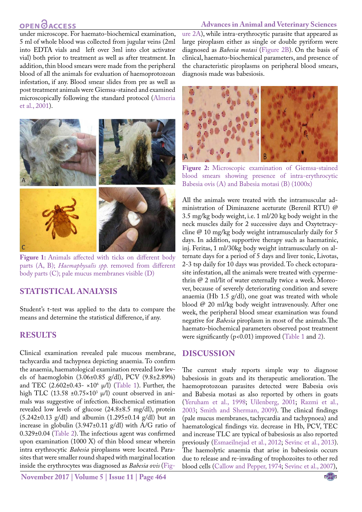# **OPEN GACCESS**

#### **Advances in Animal and Veterinary Sciences**

under microscope. For haemato-biochemical examination, 5 ml of whole blood was collected from jugular veins (2ml into EDTA vials and left over 3ml into clot activator vial) both prior to treatment as well as after treatment. In addition, thin blood smears were made from the peripheral blood of all the animals for evaluation of haemoprotozoan infestation, if any. Blood smear slides from pre as well as post treatment animals were Giemsa-stained and examined microscopically following the standard protocol [\(Almeria](#page-3-1) [et al., 2001\)](#page-3-1).



Figure 1: Animals affected with ticks on different body parts (A, B); *Haemaphysalis spp.* removed from different body parts (C); pale mucus membranes visible (D)

#### <span id="page-1-0"></span>**Statistical analysis**

Student's t-test was applied to the data to compare the means and determine the statistical difference, if any.

#### **Results**

Clinical examination revealed pale mucous membrane, tachycardia and tachypnea depicting anaemia. To confirm the anaemia, haematological examination revealed low levels of haemoglobin (3.06±0.85 g/dl), PCV (9.8±2.89%) and TEC (2.602±0.43- ×106 µ/l) ([Table 1](#page-2-0)). Further, the high TLC (13.58 ±0.75×10<sup>3</sup> µ/l) count observed in animals was suggestive of infection. Biochemical estimation revealed low levels of glucose (24.8±8.5 mg/dl), protein (5.242±0.13 g/dl) and albumin (1.295±0.14 g/dl) but an increase in globulin (3.947±0.11 g/dl) with A/G ratio of 0.329±0.04 ([Table 2](#page-2-1)). The infectious agent was confirmed upon examination (1000 X) of thin blood smear wherein intra erythrocytic *Babesia* piroplasms were located. Parasites that were smaller round shaped with marginal location inside the erythrocytes was diagnosed as *Babesia ovis* ([Fig-](#page-1-1)

**November 2017 | Volume 5 | Issue 11 | Page 464**

[ure 2A](#page-1-1)), while intra-erythrocytic parasite that appeared as large piroplasm either as single or double pyriform were diagnosed as *Babesia motasi* [\(Figure 2B\)](#page-1-1). On the basis of clinical, haemato-biochemical parameters, and presence of the characteristic piroplasms on peripheral blood smears, diagnosis made was babesiosis.



<span id="page-1-1"></span>**Figure 2:** Microscopic examination of Giemsa-stained blood smears showing presence of intra-erythrocytic Babesia ovis (A) and Babesia motasi (B) (1000x)

All the animals were treated with the intramuscular administration of Diminazene aceturate (Berenil RTU) @ 3.5 mg/kg body weight, i.e. 1 ml/20 kg body weight in the neck muscles daily for 2 successive days and Oxytetracycline @ 10 mg/kg body weight intramuscularly daily for 5 days. In addition, supportive therapy such as haematinic, inj. Feritas, 1 ml/30kg body weight intramuscularly on alternate days for a period of 5 days and liver tonic, Livotas, 2-3 tsp daily for 10 days was provided. To check ectoparasite infestation, all the animals were treated with cypermethrin @ 2 ml/lit of water externally twice a week. Moreover, because of severely deteriorating condition and severe anaemia (Hb 1.5 g/dl), one goat was treated with whole blood @ 20 ml/kg body weight intravenously. After one week, the peripheral blood smear examination was found negative for *Babesia* piroplasm in most of the animals.The haemato-biochemical parameters observed post treatment were significantly ( $p$ <0.01) improved ([Table 1](#page-2-0) an[d 2](#page-2-1)).

#### **Discussion**

The current study reports simple way to diagnose babesiosis in goats and its therapeutic amelioration. The haemoprotozoan parasites detected were Babesia ovis and Babesia motasi as also reported by others in goats ([Yeruham et al., 1998;](#page-4-3) [Uilenberg, 2001](#page-4-4); [Razmi et al.,](#page-4-1)  [2003](#page-4-1)[; Smith and Sherman, 2009\)](#page-4-5). The clinical findings (pale mucus membranes, tachycardia and tachypnoea) and haematological findings viz. decrease in Hb, PCV, TEC and increase TLC are typical of babesiosis as also reported previously [\(Esmaeilnejad et al., 2012;](#page-3-2) [Sevinc et al., 2013](#page-4-6)). The haemolytic anaemia that arise in babesiosis occurs due to release and re-invading of trophozoites to other red blood cells ([Callow and Pepper, 1974](#page-3-3); [Sevinc et al., 2007](#page-4-6)),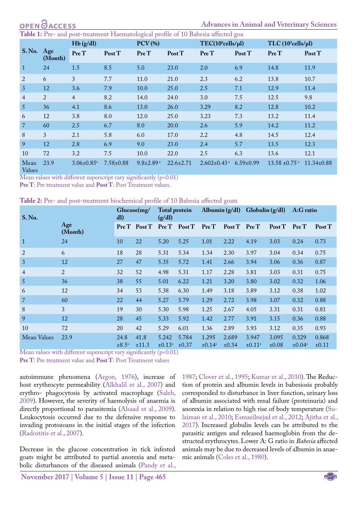<span id="page-2-0"></span>**1:** Pre- and post-treatment Haematological profile of 10 Babesia affected goa

|                                   |         | Hb(g/dl)                     |                 | $PCV$ (%)                   |                 | TEC(10 <sup>6</sup> cells/µl) |                 | $TLC(10^3$ cells/ $\mu$ l)    |                  |
|-----------------------------------|---------|------------------------------|-----------------|-----------------------------|-----------------|-------------------------------|-----------------|-------------------------------|------------------|
| S.No. Age                         | (Month) | Pre T                        | Post T          | Pre T                       | Post T          | Pre T                         | Post T          | Pre T                         | Post T           |
|                                   | 24      | 1.5                          | 8.5             | 5.0                         | 23.0            | 2.0                           | 6.9             | 14.8                          | 11.9             |
| 2                                 | 6       | 3                            | 7.7             | 11.0                        | 21.0            | 2.3                           | 6.2             | 13.8                          | 10.7             |
| 3                                 | 12      | 3.6                          | 7.9             | 10.0                        | 25.0            | 2.5                           | 7.1             | 12.9                          | 11.4             |
| $\overline{4}$                    | 2       | $\overline{4}$               | 8.2             | 14.0                        | 24.0            | 3.0                           | 7.5             | 12.5                          | 9.8              |
| 5 <sup>5</sup>                    | 36      | 4.1                          | 8.6             | 13.0                        | 26.0            | 3.29                          | 8.2             | 12.8                          | 10.2             |
| 6                                 | 12      | 3.8                          | 8.0             | 12.0                        | 25.0            | 3.23                          | 7.3             | 13.2                          | 11.4             |
| $\overline{7}$                    | 60      | 2.5                          | 6.7             | 8.0                         | 20.0            | 2.6                           | 5.9             | 14.2                          | 11.2             |
| 8                                 | 3       | 2.1                          | 5.8             | 6.0                         | 17.0            | 2.2                           | 4.8             | 14.5                          | 12.4             |
| 9                                 | 12      | 2.8                          | 6.9             | 9.0                         | 23.0            | 2.4                           | 5.7             | 13.5                          | 12.3             |
| 10                                | 72      | 3.2                          | 7.5             | 10.0                        | 22.0            | 2.5                           | 6.3             | 13.6                          | 12.1             |
| Mean<br>$V_{\alpha}$ <sub>1</sub> | 23.9    | $3.06 \pm 0.85$ <sup>a</sup> | $7.58 \pm 0.88$ | $9.8 \pm 2.89$ <sup>a</sup> | $22.6 \pm 2.71$ | $2.602 \pm 0.43$ <sup>a</sup> | $6.59 \pm 0.99$ | $13.58 \pm 0.75$ <sup>a</sup> | $11.34 \pm 0.88$ |

Values

Mean values with different superscript vary significantly (p<0.01)

**Pre T**: Pre treatment value and **Post T**: Post Treatment values.

<span id="page-2-1"></span>

| Table 2: Pre- and post-treatment biochemical profile of 10 Babesia affected goats |  |  |
|-----------------------------------------------------------------------------------|--|--|
|-----------------------------------------------------------------------------------|--|--|

| <b>S. No.</b>  |                | Glucose(mg)<br>dl)        |               | <b>Total protein</b><br>(g/dl) |                                              | Albumin $(g/dl)$ Globulin $(g/dl)$ |                     |                             |                | A:G ratio                   |                |
|----------------|----------------|---------------------------|---------------|--------------------------------|----------------------------------------------|------------------------------------|---------------------|-----------------------------|----------------|-----------------------------|----------------|
|                | Age<br>(Month) |                           |               |                                | Pre T Post T Pre T Post T Pre T Post T Pre T |                                    |                     |                             | $PostT$ Pre T  |                             | PostT          |
| $\mathbf{1}$   | 24             | 10                        | 22            | 5.20                           | 5.25                                         | 1.01                               | 2.22                | 4.19                        | 3.03           | 0.24                        | 0.73           |
| 2              | 6              | 18                        | 28            | 5.31                           | 5.34                                         | 1.34                               | 2.30                | 3.97                        | 3.04           | 0.34                        | 0.75           |
| 3              | 12             | 27                        | 47            | 5.35                           | 5.72                                         | 1.41                               | 2.66                | 3.94                        | 3.06           | 0.36                        | 0.87           |
| 4              | $\overline{2}$ | 32                        | 52            | 4.98                           | 5.31                                         | 1.17                               | 2.28                | 3.81                        | 3.03           | 0.31                        | 0.75           |
| 5              | 36             | 38                        | 55            | 5.01                           | 6.22                                         | 1.21                               | 3.20                | 3.80                        | 3.02           | 0.32                        | 1.06           |
| 6              | 12             | 34                        | 53            | 5.38                           | 6.30                                         | 1.49                               | 3.18                | 3.89                        | 3.12           | 0.38                        | 1.02           |
| $\overline{7}$ | 60             | 22                        | 44            | 5.27                           | 5.79                                         | 1.29                               | 2.72                | 3.98                        | 3.07           | 0.32                        | 0.88           |
| 8              | 3              | 19                        | 30            | 5.30                           | 5.98                                         | 1.25                               | 2.67                | 4.05                        | 3.31           | 0.31                        | 0.81           |
| 9              | 12             | 28                        | 45            | 5.33                           | 5.92                                         | 1.42                               | 2.77                | 3.91                        | 3.15           | 0.36                        | 0.88           |
| 10             | 72             | 20                        | 42            | 5.29                           | 6.01                                         | 1.36                               | 2.89                | 3.93                        | 3.12           | 0.35                        | 0.93           |
| Mean Values    | 23.9           | 24.8<br>$\pm 8.5^{\circ}$ | 41.8<br>±11.3 | 5.242<br>$\pm 0.13^{\circ}$    | 5.784<br>$\pm 0.37$                          | 1.295<br>±0.14 <sup>a</sup>        | 2.689<br>$\pm 0.34$ | 3.947<br>$\pm 0.11^{\circ}$ | 3.095<br>±0.08 | 0.329<br>$\pm 0.04^{\circ}$ | 0.868<br>±0.11 |

Mean values with different superscript vary significantly (p<0.01) **Pre T**: Pre treatment value and **Post T**: Post Treatment values

autoimmune phenomena ([Argon, 1976\)](#page-3-4), increase of host erythrocyte permeability ([Alkhalil et al., 2007](#page-3-5)) and erythro- phagocytosis by activated macrophage ([Saleh,](#page-4-7) [2009](#page-4-7)). However, the severity of haemolysis of anaemia is directly proportional to parasitemia ([Alsaad et al., 2009\)](#page-3-6). Leukocytosis occurred due to the defensive response to invading protozoans in the initial stages of the infection ([Radostitis et al., 2007](#page-3-0)).

Decrease in the glucose concentration in tick infested goats might be attributed to partial anorexia and metabolic disturbances of the diseased animals ([Pandy et al.,](#page-3-7)

[1987;](#page-3-7) [Clover et al., 1995](#page-3-8); [Kumar et al., 2010](#page-3-9)). The Reduction of protein and albumin levels in babesiosis probably corresponded to disturbance in liver function, urinary loss of albumin associated with renal failure (proteinuria) and anorexia in relation to high rise of body temperature [\(Su](#page-4-8)[laiman et al., 2010;](#page-4-8) [Esmaeilnejad et al., 2012](#page-3-2); [Ajitha et al.,](#page-3-10)  [2017\)](#page-3-10). Increased globulin levels can be attributed to the parasitic antigen and released haemoglobin from the destructed erythrocytes. Lower A: G ratio in *Babesia* affected animals may be due to decreased levels of albumin in anaemic animals ([Coles et al., 1980\)](#page-3-11).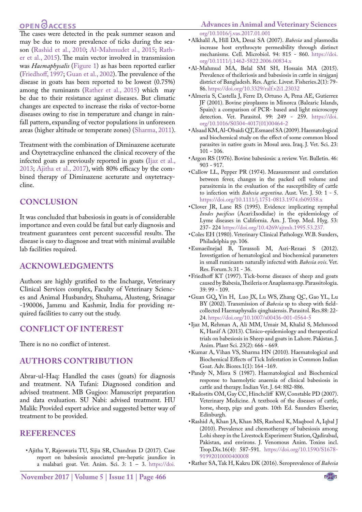# **OPEN**OACCESS

The cases were detected in the peak summer season and may be due to more prevalence of ticks during the season [\(Rashid et al., 2010](#page-3-12); [Al-Mahmudet al., 2015](#page-3-13); [Rath](#page-3-14)[er et al., 2015](#page-3-14)). The main vector involved in transmission was *Haemaphysalis* ([Figure 1\)](#page-1-0) as has been reported earlier [\(Friedhoff, 1997](#page-3-15); [Guan et al., 2002\)](#page-3-16). The prevalence of the disease in goats has been reported to be lowest (0.75%) among the ruminants [\(Rather et al., 2015\)](#page-3-14) which may be due to their resistance against diseases. But climatic changes are expected to increase the risks of vector‐borne diseases owing to rise in temperature and change in rainfall pattern, expanding of vector populations in unforeseen areas (higher altitude or temperate zones) (Sharma, 2011).

Treatment with the combination of Diminazene aceturate and Oxytetracycline enhanced the clinical recovery of the infected goats as previously reported in goats ([Ijaz et al.,](#page-3-17) [2013;](#page-3-17) [Ajitha et al., 2017\)](#page-3-10), with 80% efficacy by the combined therapy of Diminazene aceturate and oxytetracycline.

### **Conclusion**

It was concluded that babesiosis in goats is of considerable importance and even could be fatal but early diagnosis and treatment guarantees cent percent successful results. The disease is easy to diagnose and treat with minimal available lab facilities required.

### **Acknowledgments**

Authors are highly gratified to the Incharge, Veterinary Clinical Services complex, Faculty of Veterinary Sciences and Animal Husbandry, Shuhama, Alusteng, Srinagar -190006, Jammu and Kashmir, India for providing required facilities to carry out the study.

#### **Conflict of interest**

There is no no conflict of interest.

## **Authors contribution**

Abrar-ul-Haq: Handled the cases (goats) for diagnosis and treatment. NA Tufani: Diagnosed condition and advised treatment. MB Gugjoo: Manuscript preparation and data evaluation. SU Nabi: advised treatment. HU Malik: Provided expert advice and suggested better way of treatment to be provided.

## **References**

<span id="page-3-10"></span>• Ajitha Y, Rajeswaria TU, Sijia SR, Chandran D (2017). Case report on babesiosis associated pre-hepatic jaundice in a malabari goat. Vet. Anim. Sci. 3:  $1 - 3$ . [https://doi.](https://doi.org/10.1016/j.vas.2017.01.001 )

# **Advances in Animal and Veterinary Sciences**

<span id="page-3-5"></span>[org/10.1016/j.vas.2017.01.001](https://doi.org/10.1016/j.vas.2017.01.001 )

- • Alkhalil A, Hill DA, Desai SA (2007). *Babesia* and plasmodia increase host erythrocyte permeability through distinct mechanisms. Cell. Microbiol. 94: 815 - 860. [https://doi.](https://doi.org/10.1111/j.1462-5822.2006.00834.x ) [org/10.1111/j.1462-5822.2006.00834.x](https://doi.org/10.1111/j.1462-5822.2006.00834.x )
- <span id="page-3-13"></span>• Al-Mahmud MA, Belal SM SH, Hossain MA (2015). Prevalence of theileriosis and babesiosis in cattle in sirajganj district of Bangladesh. Res. Agric. Livest. Fisheries.2(1): 79- 86. [https://doi.org/10.3329/ralf.v2i1.23032](https://doi.org/10.3329/ralf.v2i1.23032 )
- <span id="page-3-1"></span>• Almeria S, Castella J, Ferre D, Ortuno A, Pena AE, Gutierrez JF (2001). Bovine piroplasms in Minorca (Balearic Islands, Spain): a comparison of PCR- based and light microscopy detection. Vet. Parasitol. 99: 249 - 259. [https://doi.](https://doi.org/10.1016/S0304-4017(01)00464-2 ) [org/10.1016/S0304-4017\(01\)00464-2](https://doi.org/10.1016/S0304-4017(01)00464-2 )
- <span id="page-3-6"></span>• Alsaad KM, Al-Obaidi QT, Esmaeel SA (2009). Haematological and biochemical study on the effect of some common blood parasites in native goats in Mosul area. Iraq. J. Vet. Sci. 23: 101 - 106.
- <span id="page-3-4"></span>• Argon RS (1976). Bovine babesiosis: a review. Vet. Bulletin. 46: 903 - 917.
- <span id="page-3-3"></span>• Callow LL, Pepper PR (1974). Measurement and correlation between fever, changes in the packed cell volume and parasitemia in the evaluation of the susceptibility of cattle to infection with *Babesia argentina*. Aust. Vet. J. 50: 1 - 5. [https://doi.org/10.1111/j.1751-0813.1974.tb09358.x](https://doi.org/10.1111/j.1751-0813.1974.tb09358.x )
- <span id="page-3-8"></span>• Clover JR, Lane RS (1995). Evidence implicating nymphal *Ixodes pacificus* (Acari:Ixodidae) in the epidemiology of Lyme diseases in California. Am. J. Trop. Med. Hyg. 53: 237- 224 [https://doi.org/10.4269/ajtmh.1995.53.237.](https://doi.org/10.4269/ajtmh.1995.53.237. )
- <span id="page-3-11"></span>• Coles EH (1980). Veterinary Clinical Pathology. W.B. Sunders, Philadelphia pp. 106.
- <span id="page-3-2"></span>• Esmaeilnejad B, Tavassoli M, Asri-Rezaei S (2012). Investigation of hematological and biochemical parameters in small ruminants naturally infected with *Babesia ovis*. Vet. Res. Forum*.*3**:** 31 - 36.
- <span id="page-3-15"></span>• Friedhoff KT (1997). Tick-borne diseases of sheep and goats caused by Babesia, Theileria or Anaplasma spp. Parassitologia. 39: 99 - 109.
- <span id="page-3-16"></span>• Guan GQ, Yin H, Luo JX, Lu WS, Zhang QC, Gao YL, Lu BY (2002). Transmission of *Babesia* sp to sheep with fieldcollected Haemaphysalis qinghaiensis. Parasitol. Res.88: 22- 24[. https://doi.org/10.1007/s00436-001-0564-5]( https://doi.org/10.1007/s00436-001-0564-5 )
- <span id="page-3-17"></span>• Ijaz M, Rehman A, Ali MM, Umair M, Khalid S, Mehmood K, Hanif A (2013). Clinico-epidemiology and therapeutical trials on babesiosis in Sheep and goats in Lahore. Pakistan. J. Anim. Plant Sci. 23(2): 666 - 669.
- <span id="page-3-9"></span>• Kumar A, Vihan VS, Sharma HN (2010). Haematological and Biochemical Effects of Tick Infestation in Common Indian Goat. Adv. Biores*.*1(1): 164 -169.
- <span id="page-3-7"></span>• Pandy N, Misra S (1987). Haematological and Biochemical response to haemolytic anaemia of clinical babesiosis in cattle and therapy. Indian Vet. J. 64: 882-886.
- <span id="page-3-0"></span>• Radostits OM, Gay CC, Hinchcliff KW, Constable PD (2007). Veterinary Medicine. A textbook of the diseases of cattle, horse, sheep, pigs and goats. 10th Ed. Saunders Elsevier, Edinburgh.
- <span id="page-3-12"></span>• Rashid A, Khan JA, Khan MS, Rasheed K, Maqbool A, Iqbal J (2010). Prevalence and chemotherapy of babesiosis among Lohi sheep in the Livestock Experiment Station, Qadirabad, Pakistan, and environs. J. Venomous Anim. Toxins incl. Trop.Dis*.*16(4): 587-591. [https://doi.org/10.1590/S1678-](https://doi.org/10.1590/S1678-91992010000400008 ) [91992010000400008](https://doi.org/10.1590/S1678-91992010000400008 )
- <span id="page-3-14"></span>• Rather SA, Tak H, Kakru DK (2016). Seroprevalence of *Babesia*